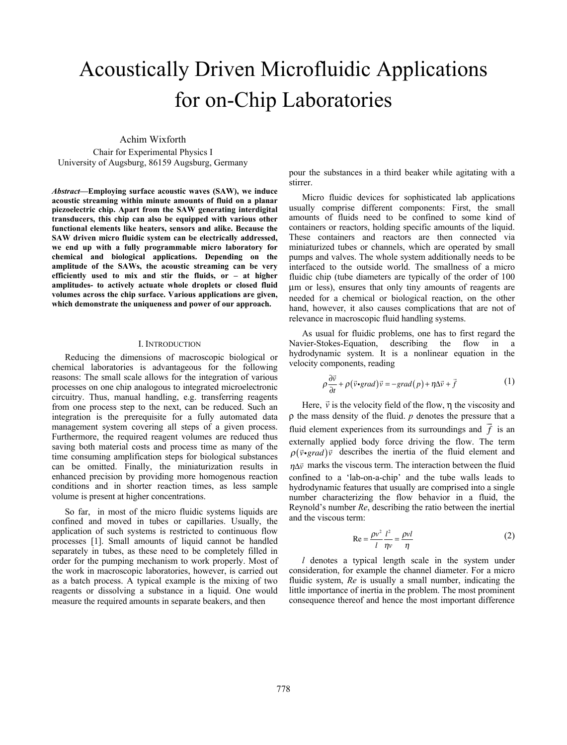# Acoustically Driven Microfluidic Applications for on-Chip Laboratories

Achim Wixforth

Chair for Experimental Physics I University of Augsburg, 86159 Augsburg, Germany

*Abstract***—Employing surface acoustic waves (SAW), we induce acoustic streaming within minute amounts of fluid on a planar piezoelectric chip. Apart from the SAW generating interdigital transducers, this chip can also be equipped with various other functional elements like heaters, sensors and alike. Because the SAW driven micro fluidic system can be electrically addressed, we end up with a fully programmable micro laboratory for chemical and biological applications. Depending on the amplitude of the SAWs, the acoustic streaming can be very efficiently used to mix and stir the fluids, or – at higher amplitudes- to actively actuate whole droplets or closed fluid volumes across the chip surface. Various applications are given, which demonstrate the uniqueness and power of our approach.**

#### I. INTRODUCTION

Reducing the dimensions of macroscopic biological or chemical laboratories is advantageous for the following reasons: The small scale allows for the integration of various processes on one chip analogous to integrated microelectronic circuitry. Thus, manual handling, e.g. transferring reagents from one process step to the next, can be reduced. Such an integration is the prerequisite for a fully automated data management system covering all steps of a given process. Furthermore, the required reagent volumes are reduced thus saving both material costs and process time as many of the time consuming amplification steps for biological substances can be omitted. Finally, the miniaturization results in enhanced precision by providing more homogenous reaction conditions and in shorter reaction times, as less sample volume is present at higher concentrations.

So far, in most of the micro fluidic systems liquids are confined and moved in tubes or capillaries. Usually, the application of such systems is restricted to continuous flow processes [1]. Small amounts of liquid cannot be handled separately in tubes, as these need to be completely filled in order for the pumping mechanism to work properly. Most of the work in macroscopic laboratories, however, is carried out as a batch process. A typical example is the mixing of two reagents or dissolving a substance in a liquid. One would measure the required amounts in separate beakers, and then

pour the substances in a third beaker while agitating with a stirrer.

Micro fluidic devices for sophisticated lab applications usually comprise different components: First, the small amounts of fluids need to be confined to some kind of containers or reactors, holding specific amounts of the liquid. These containers and reactors are then connected via miniaturized tubes or channels, which are operated by small pumps and valves. The whole system additionally needs to be interfaced to the outside world. The smallness of a micro fluidic chip (tube diameters are typically of the order of 100 µm or less), ensures that only tiny amounts of reagents are needed for a chemical or biological reaction, on the other hand, however, it also causes complications that are not of relevance in macroscopic fluid handling systems.

As usual for fluidic problems, one has to first regard the Navier-Stokes-Equation, describing the flow in a hydrodynamic system. It is a nonlinear equation in the velocity components, reading

$$
\rho \frac{\partial \vec{v}}{\partial t} + \rho (\vec{v} \cdot grad) \vec{v} = -grad(p) + \eta \Delta \vec{v} + \vec{f}
$$
 (1)

Here,  $\vec{v}$  is the velocity field of the flow,  $\eta$  the viscosity and ρ the mass density of the fluid. *p* denotes the pressure that a fluid element experiences from its surroundings and *f*  $\vec{f}$  is an externally applied body force driving the flow. The term  $\rho(\vec{v} \cdot grad) \vec{v}$  describes the inertia of the fluid element and  $\eta \Delta \vec{v}$  marks the viscous term. The interaction between the fluid confined to a 'lab-on-a-chip' and the tube walls leads to hydrodynamic features that usually are comprised into a single number characterizing the flow behavior in a fluid, the Reynold's number *Re*, describing the ratio between the inertial and the viscous term:

$$
\text{Re} = \frac{\rho v^2}{l} \frac{l^2}{\eta v} = \frac{\rho v l}{\eta} \tag{2}
$$

*l* denotes a typical length scale in the system under consideration, for example the channel diameter. For a micro fluidic system, *Re* is usually a small number, indicating the little importance of inertia in the problem. The most prominent consequence thereof and hence the most important difference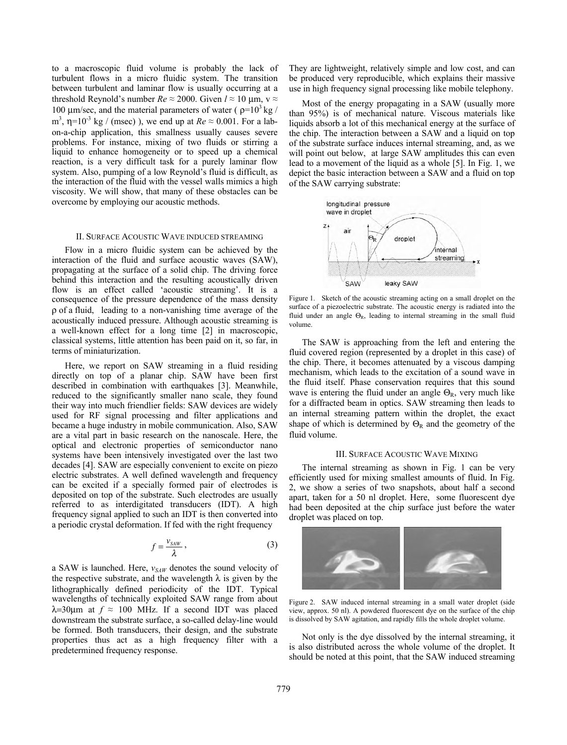to a macroscopic fluid volume is probably the lack of turbulent flows in a micro fluidic system. The transition between turbulent and laminar flow is usually occurring at a threshold Reynold's number  $Re \approx 2000$ . Given  $l \approx 10$  µm, v  $\approx$ 100 μm/sec, and the material parameters of water ( $\rho = 10^3$  kg / m<sup>3</sup>,  $\eta$ =10<sup>-3</sup> kg / (msec)), we end up at  $Re \approx 0.001$ . For a labon-a-chip application, this smallness usually causes severe problems. For instance, mixing of two fluids or stirring a liquid to enhance homogeneity or to speed up a chemical reaction, is a very difficult task for a purely laminar flow system. Also, pumping of a low Reynold's fluid is difficult, as the interaction of the fluid with the vessel walls mimics a high viscosity. We will show, that many of these obstacles can be overcome by employing our acoustic methods.

# II. SURFACE ACOUSTIC WAVE INDUCED STREAMING

Flow in a micro fluidic system can be achieved by the interaction of the fluid and surface acoustic waves (SAW), propagating at the surface of a solid chip. The driving force behind this interaction and the resulting acoustically driven flow is an effect called 'acoustic streaming'. It is a consequence of the pressure dependence of the mass density ρ of a fluid, leading to a non-vanishing time average of the acoustically induced pressure. Although acoustic streaming is a well-known effect for a long time [2] in macroscopic, classical systems, little attention has been paid on it, so far, in terms of miniaturization.

Here, we report on SAW streaming in a fluid residing directly on top of a planar chip. SAW have been first described in combination with earthquakes [3]. Meanwhile, reduced to the significantly smaller nano scale, they found their way into much friendlier fields: SAW devices are widely used for RF signal processing and filter applications and became a huge industry in mobile communication. Also, SAW are a vital part in basic research on the nanoscale. Here, the optical and electronic properties of semiconductor nano systems have been intensively investigated over the last two decades [4]. SAW are especially convenient to excite on piezo electric substrates. A well defined wavelength and frequency can be excited if a specially formed pair of electrodes is deposited on top of the substrate. Such electrodes are usually referred to as interdigitated transducers (IDT). A high frequency signal applied to such an IDT is then converted into a periodic crystal deformation. If fed with the right frequency

$$
f = \frac{v_{SAW}}{\lambda} \,,\tag{3}
$$

a SAW is launched. Here, *vSAW* denotes the sound velocity of the respective substrate, and the wavelength  $\lambda$  is given by the lithographically defined periodicity of the IDT. Typical wavelengths of technically exploited SAW range from about  $λ=30μm$  at  $f ≈ 100$  MHz. If a second IDT was placed downstream the substrate surface, a so-called delay-line would be formed. Both transducers, their design, and the substrate properties thus act as a high frequency filter with a predetermined frequency response.

They are lightweight, relatively simple and low cost, and can be produced very reproducible, which explains their massive use in high frequency signal processing like mobile telephony.

Most of the energy propagating in a SAW (usually more than 95%) is of mechanical nature. Viscous materials like liquids absorb a lot of this mechanical energy at the surface of the chip. The interaction between a SAW and a liquid on top of the substrate surface induces internal streaming, and, as we will point out below, at large SAW amplitudes this can even lead to a movement of the liquid as a whole [5]. In Fig. 1, we depict the basic interaction between a SAW and a fluid on top of the SAW carrying substrate:



Figure 1. Sketch of the acoustic streaming acting on a small droplet on the surface of a piezoelectric substrate. The acoustic energy is radiated into the fluid under an angle  $\Theta_R$ , leading to internal streaming in the small fluid volume.

The SAW is approaching from the left and entering the fluid covered region (represented by a droplet in this case) of the chip. There, it becomes attenuated by a viscous damping mechanism, which leads to the excitation of a sound wave in the fluid itself. Phase conservation requires that this sound wave is entering the fluid under an angle  $\Theta_{\text{R}}$ , very much like for a diffracted beam in optics. SAW streaming then leads to an internal streaming pattern within the droplet, the exact shape of which is determined by  $\Theta_R$  and the geometry of the fluid volume.

#### III. SURFACE ACOUSTIC WAVE MIXING

The internal streaming as shown in Fig. 1 can be very efficiently used for mixing smallest amounts of fluid. In Fig. 2, we show a series of two snapshots, about half a second apart, taken for a 50 nl droplet. Here, some fluorescent dye had been deposited at the chip surface just before the water droplet was placed on top.



Figure 2. SAW induced internal streaming in a small water droplet (side view, approx. 50 nl). A powdered fluorescent dye on the surface of the chip is dissolved by SAW agitation, and rapidly fills the whole droplet volume.

Not only is the dye dissolved by the internal streaming, it is also distributed across the whole volume of the droplet. It should be noted at this point, that the SAW induced streaming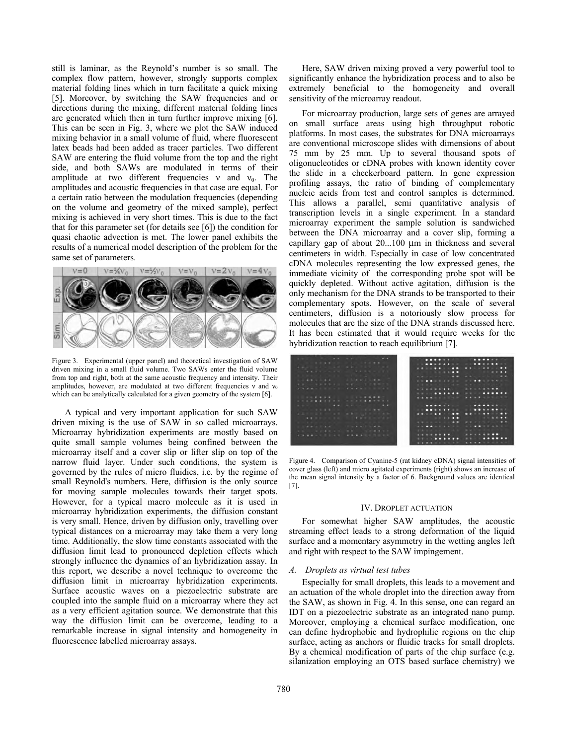still is laminar, as the Reynold's number is so small. The complex flow pattern, however, strongly supports complex material folding lines which in turn facilitate a quick mixing [5]. Moreover, by switching the SAW frequencies and or directions during the mixing, different material folding lines are generated which then in turn further improve mixing [6]. This can be seen in Fig. 3, where we plot the SAW induced mixing behavior in a small volume of fluid, where fluorescent latex beads had been added as tracer particles. Two different SAW are entering the fluid volume from the top and the right side, and both SAWs are modulated in terms of their amplitude at two different frequencies  $v$  and  $v_0$ . The amplitudes and acoustic frequencies in that case are equal. For a certain ratio between the modulation frequencies (depending on the volume and geometry of the mixed sample), perfect mixing is achieved in very short times. This is due to the fact that for this parameter set (for details see [6]) the condition for quasi chaotic advection is met. The lower panel exhibits the results of a numerical model description of the problem for the same set of parameters.



Figure 3. Experimental (upper panel) and theoretical investigation of SAW driven mixing in a small fluid volume. Two SAWs enter the fluid volume from top and right, both at the same acoustic frequency and intensity. Their amplitudes, however, are modulated at two different frequencies  $v$  and  $v_0$ which can be analytically calculated for a given geometry of the system [6].

A typical and very important application for such SAW driven mixing is the use of SAW in so called microarrays. Microarray hybridization experiments are mostly based on quite small sample volumes being confined between the microarray itself and a cover slip or lifter slip on top of the narrow fluid layer. Under such conditions, the system is governed by the rules of micro fluidics, i.e. by the regime of small Reynold's numbers. Here, diffusion is the only source for moving sample molecules towards their target spots. However, for a typical macro molecule as it is used in microarray hybridization experiments, the diffusion constant is very small. Hence, driven by diffusion only, travelling over typical distances on a microarray may take them a very long time. Additionally, the slow time constants associated with the diffusion limit lead to pronounced depletion effects which strongly influence the dynamics of an hybridization assay. In this report, we describe a novel technique to overcome the diffusion limit in microarray hybridization experiments. Surface acoustic waves on a piezoelectric substrate are coupled into the sample fluid on a microarray where they act as a very efficient agitation source. We demonstrate that this way the diffusion limit can be overcome, leading to a remarkable increase in signal intensity and homogeneity in fluorescence labelled microarray assays.

Here, SAW driven mixing proved a very powerful tool to significantly enhance the hybridization process and to also be extremely beneficial to the homogeneity and overall sensitivity of the microarray readout.

For microarray production, large sets of genes are arrayed on small surface areas using high throughput robotic platforms. In most cases, the substrates for DNA microarrays are conventional microscope slides with dimensions of about 75 mm by 25 mm. Up to several thousand spots of oligonucleotides or cDNA probes with known identity cover the slide in a checkerboard pattern. In gene expression profiling assays, the ratio of binding of complementary nucleic acids from test and control samples is determined. This allows a parallel, semi quantitative analysis of transcription levels in a single experiment. In a standard microarray experiment the sample solution is sandwiched between the DNA microarray and a cover slip, forming a capillary gap of about 20...100 µm in thickness and several centimeters in width. Especially in case of low concentrated cDNA molecules representing the low expressed genes, the immediate vicinity of the corresponding probe spot will be quickly depleted. Without active agitation, diffusion is the only mechanism for the DNA strands to be transported to their complementary spots. However, on the scale of several centimeters, diffusion is a notoriously slow process for molecules that are the size of the DNA strands discussed here. It has been estimated that it would require weeks for the hybridization reaction to reach equilibrium [7].

| the contract of the contract of the contract of the contract of the contract of the contract of the contract of<br><b>Administration of the American Committee of the American Committee Committee Committee Committee Committee Committee</b><br><b>. </b><br><b>SALE SPEED SALES SPEED SALES</b> |  |  |  |  |  |  |  |  |  |  |  |  |
|----------------------------------------------------------------------------------------------------------------------------------------------------------------------------------------------------------------------------------------------------------------------------------------------------|--|--|--|--|--|--|--|--|--|--|--|--|
| the court of the con-                                                                                                                                                                                                                                                                              |  |  |  |  |  |  |  |  |  |  |  |  |
|                                                                                                                                                                                                                                                                                                    |  |  |  |  |  |  |  |  |  |  |  |  |
|                                                                                                                                                                                                                                                                                                    |  |  |  |  |  |  |  |  |  |  |  |  |
|                                                                                                                                                                                                                                                                                                    |  |  |  |  |  |  |  |  |  |  |  |  |
|                                                                                                                                                                                                                                                                                                    |  |  |  |  |  |  |  |  |  |  |  |  |
|                                                                                                                                                                                                                                                                                                    |  |  |  |  |  |  |  |  |  |  |  |  |
|                                                                                                                                                                                                                                                                                                    |  |  |  |  |  |  |  |  |  |  |  |  |
|                                                                                                                                                                                                                                                                                                    |  |  |  |  |  |  |  |  |  |  |  |  |
|                                                                                                                                                                                                                                                                                                    |  |  |  |  |  |  |  |  |  |  |  |  |
|                                                                                                                                                                                                                                                                                                    |  |  |  |  |  |  |  |  |  |  |  |  |
|                                                                                                                                                                                                                                                                                                    |  |  |  |  |  |  |  |  |  |  |  |  |
|                                                                                                                                                                                                                                                                                                    |  |  |  |  |  |  |  |  |  |  |  |  |
|                                                                                                                                                                                                                                                                                                    |  |  |  |  |  |  |  |  |  |  |  |  |
|                                                                                                                                                                                                                                                                                                    |  |  |  |  |  |  |  |  |  |  |  |  |
|                                                                                                                                                                                                                                                                                                    |  |  |  |  |  |  |  |  |  |  |  |  |
|                                                                                                                                                                                                                                                                                                    |  |  |  |  |  |  |  |  |  |  |  |  |
|                                                                                                                                                                                                                                                                                                    |  |  |  |  |  |  |  |  |  |  |  |  |
|                                                                                                                                                                                                                                                                                                    |  |  |  |  |  |  |  |  |  |  |  |  |
|                                                                                                                                                                                                                                                                                                    |  |  |  |  |  |  |  |  |  |  |  |  |
|                                                                                                                                                                                                                                                                                                    |  |  |  |  |  |  |  |  |  |  |  |  |
|                                                                                                                                                                                                                                                                                                    |  |  |  |  |  |  |  |  |  |  |  |  |

Figure 4. Comparison of Cyanine-5 (rat kidney cDNA) signal intensities of cover glass (left) and micro agitated experiments (right) shows an increase of the mean signal intensity by a factor of 6. Background values are identical [7].

#### IV. DROPLET ACTUATION

For somewhat higher SAW amplitudes, the acoustic streaming effect leads to a strong deformation of the liquid surface and a momentary asymmetry in the wetting angles left and right with respect to the SAW impingement.

#### *A. Droplets as virtual test tubes*

Especially for small droplets, this leads to a movement and an actuation of the whole droplet into the direction away from the SAW, as shown in Fig. 4. In this sense, one can regard an IDT on a piezoelectric substrate as an integrated nano pump. Moreover, employing a chemical surface modification, one can define hydrophobic and hydrophilic regions on the chip surface, acting as anchors or fluidic tracks for small droplets. By a chemical modification of parts of the chip surface (e.g. silanization employing an OTS based surface chemistry) we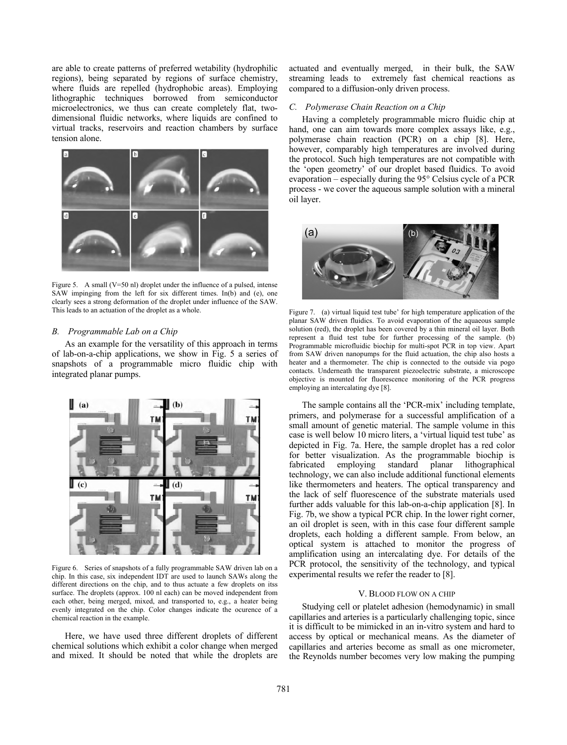are able to create patterns of preferred wetability (hydrophilic regions), being separated by regions of surface chemistry, where fluids are repelled (hydrophobic areas). Employing lithographic techniques borrowed from semiconductor microelectronics, we thus can create completely flat, twodimensional fluidic networks, where liquids are confined to virtual tracks, reservoirs and reaction chambers by surface tension alone.



Figure 5. A small ( $V=50$  nl) droplet under the influence of a pulsed, intense SAW impinging from the left for six different times. In(b) and (e), one clearly sees a strong deformation of the droplet under influence of the SAW. This leads to an actuation of the droplet as a whole.

# *B. Programmable Lab on a Chip*

As an example for the versatility of this approach in terms of lab-on-a-chip applications, we show in Fig. 5 a series of snapshots of a programmable micro fluidic chip with integrated planar pumps.



Figure 6. Series of snapshots of a fully programmable SAW driven lab on a chip. In this case, six independent IDT are used to launch SAWs along the different directions on the chip, and to thus actuate a few droplets on itss surface. The droplets (approx. 100 nl each) can be moved independent from each other, being merged, mixed, and transported to, e.g., a heater being evenly integrated on the chip. Color changes indicate the ocurence of a chemical reaction in the example.

Here, we have used three different droplets of different chemical solutions which exhibit a color change when merged and mixed. It should be noted that while the droplets are actuated and eventually merged, in their bulk, the SAW streaming leads to extremely fast chemical reactions as compared to a diffusion-only driven process.

### *C. Polymerase Chain Reaction on a Chip*

Having a completely programmable micro fluidic chip at hand, one can aim towards more complex assays like, e.g., polymerase chain reaction (PCR) on a chip [8]. Here, however, comparably high temperatures are involved during the protocol. Such high temperatures are not compatible with the 'open geometry' of our droplet based fluidics. To avoid evaporation – especially during the 95° Celsius cycle of a PCR process - we cover the aqueous sample solution with a mineral oil layer.



Figure 7. (a) virtual liquid test tube' for high temperature application of the planar SAW driven fluidics. To avoid evaporation of the aquaeous sample solution (red), the droplet has been covered by a thin mineral oil layer. Both represent a fluid test tube for further processing of the sample. (b) Programmable microfluidic biochip for multi-spot PCR in top view. Apart from SAW driven nanopumps for the fluid actuation, the chip also hosts a heater and a thermometer. The chip is connected to the outside via pogo contacts. Underneath the transparent piezoelectric substrate, a microscope objective is mounted for fluorescence monitoring of the PCR progress employing an intercalating dye [8].

The sample contains all the 'PCR-mix' including template, primers, and polymerase for a successful amplification of a small amount of genetic material. The sample volume in this case is well below 10 micro liters, a 'virtual liquid test tube' as depicted in Fig. 7a. Here, the sample droplet has a red color for better visualization. As the programmable biochip is fabricated employing standard planar lithographical fabricated employing standard planar lithographical technology, we can also include additional functional elements like thermometers and heaters. The optical transparency and the lack of self fluorescence of the substrate materials used further adds valuable for this lab-on-a-chip application [8]. In Fig. 7b, we show a typical PCR chip. In the lower right corner, an oil droplet is seen, with in this case four different sample droplets, each holding a different sample. From below, an optical system is attached to monitor the progress of amplification using an intercalating dye. For details of the PCR protocol, the sensitivity of the technology, and typical experimental results we refer the reader to [8].

# V. BLOOD FLOW ON A CHIP

Studying cell or platelet adhesion (hemodynamic) in small capillaries and arteries is a particularly challenging topic, since it is difficult to be mimicked in an in-vitro system and hard to access by optical or mechanical means. As the diameter of capillaries and arteries become as small as one micrometer, the Reynolds number becomes very low making the pumping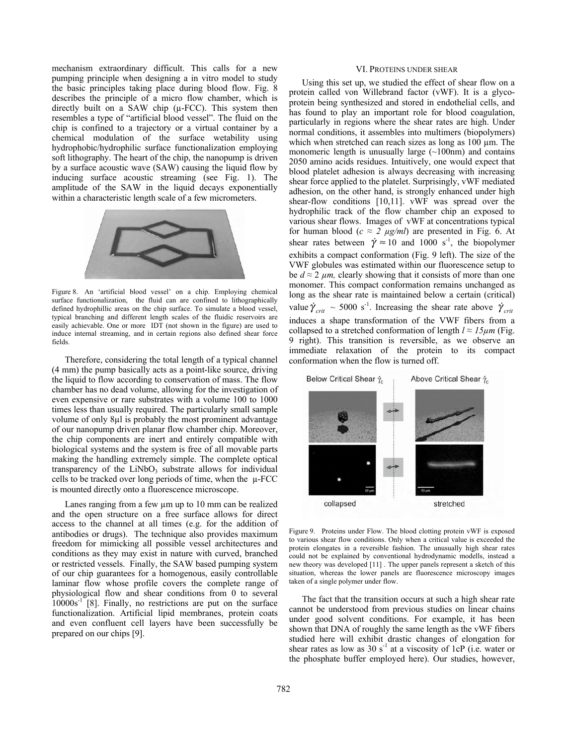mechanism extraordinary difficult. This calls for a new pumping principle when designing a in vitro model to study the basic principles taking place during blood flow. Fig. 8 describes the principle of a micro flow chamber, which is directly built on a SAW chip  $(\mu$ -FCC). This system then resembles a type of "artificial blood vessel". The fluid on the chip is confined to a trajectory or a virtual container by a chemical modulation of the surface wetability using hydrophobic/hydrophilic surface functionalization employing soft lithography. The heart of the chip, the nanopump is driven by a surface acoustic wave (SAW) causing the liquid flow by inducing surface acoustic streaming (see Fig. 1). The amplitude of the SAW in the liquid decays exponentially within a characteristic length scale of a few micrometers.



Figure 8. An 'artificial blood vessel' on a chip. Employing chemical surface functionalization, the fluid can are confined to lithographically defined hydrophillic areas on the chip surface. To simulate a blood vessel, typical branching and different length scales of the fluidic reservoirs are easily achievable. One or more IDT (not shown in the figure) are used to induce internal streaming, and in certain regions also defined shear force fields.

Therefore, considering the total length of a typical channel (4 mm) the pump basically acts as a point-like source, driving the liquid to flow according to conservation of mass. The flow chamber has no dead volume, allowing for the investigation of even expensive or rare substrates with a volume 100 to 1000 times less than usually required. The particularly small sample volume of only 8µl is probably the most prominent advantage of our nanopump driven planar flow chamber chip. Moreover, the chip components are inert and entirely compatible with biological systems and the system is free of all movable parts making the handling extremely simple. The complete optical transparency of the  $LiNbO<sub>3</sub>$  substrate allows for individual cells to be tracked over long periods of time, when the  $\mu$ -FCC is mounted directly onto a fluorescence microscope.

Lanes ranging from a few  $\mu$ m up to 10 mm can be realized and the open structure on a free surface allows for direct access to the channel at all times (e.g. for the addition of antibodies or drugs). The technique also provides maximum freedom for mimicking all possible vessel architectures and conditions as they may exist in nature with curved, branched or restricted vessels. Finally, the SAW based pumping system of our chip guarantees for a homogenous, easily controllable laminar flow whose profile covers the complete range of physiological flow and shear conditions from 0 to several  $10000s^{-1}$  [8]. Finally, no restrictions are put on the surface functionalization. Artificial lipid membranes, protein coats and even confluent cell layers have been successfully be prepared on our chips [9].

#### VI. PROTEINS UNDER SHEAR

Using this set up, we studied the effect of shear flow on a protein called von Willebrand factor (vWF). It is a glycoprotein being synthesized and stored in endothelial cells, and has found to play an important role for blood coagulation, particularly in regions where the shear rates are high. Under normal conditions, it assembles into multimers (biopolymers) which when stretched can reach sizes as long as 100  $\mu$ m. The monomeric length is unusually large  $(\sim 100$ nm) and contains 2050 amino acids residues. Intuitively, one would expect that blood platelet adhesion is always decreasing with increasing shear force applied to the platelet. Surprisingly, vWF mediated adhesion, on the other hand, is strongly enhanced under high shear-flow conditions [10,11]. vWF was spread over the hydrophilic track of the flow chamber chip an exposed to various shear flows. Images of vWF at concentrations typical for human blood ( $c \approx 2 \mu g/ml$ ) are presented in Fig. 6. At shear rates between  $\dot{\gamma} \approx 10$  and 1000 s<sup>-1</sup>, the biopolymer exhibits a compact conformation (Fig. 9 left). The size of the VWF globules was estimated within our fluorescence setup to be  $d \approx 2 \mu m$ , clearly showing that it consists of more than one monomer. This compact conformation remains unchanged as long as the shear rate is maintained below a certain (critical) value  $\dot{\gamma}_{crit} \sim 5000 \text{ s}^{-1}$ . Increasing the shear rate above  $\dot{\gamma}_{crit}$ induces a shape transformation of the VWF fibers from a collapsed to a stretched conformation of length  $l \approx 15 \mu m$  (Fig. 9 right). This transition is reversible, as we observe an immediate relaxation of the protein to its compact conformation when the flow is turned off.



Figure 9. Proteins under Flow. The blood clotting protein vWF is exposed to various shear flow conditions. Only when a critical value is exceeded the protein elongates in a reversible fashion. The unusually high shear rates could not be explained by conventional hydrodynamic modells, instead a new theory was developed [11] . The upper panels represent a sketch of this situation, whereas the lower panels are fluorescence microscopy images taken of a single polymer under flow.

The fact that the transition occurs at such a high shear rate cannot be understood from previous studies on linear chains under good solvent conditions. For example, it has been shown that DNA of roughly the same length as the vWF fibers studied here will exhibit drastic changes of elongation for shear rates as low as  $30 s<sup>-1</sup>$  at a viscosity of 1cP (i.e. water or the phosphate buffer employed here). Our studies, however,